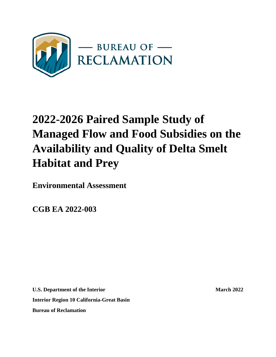

# **2022-2026 Paired Sample Study of Managed Flow and Food Subsidies on the Availability and Quality of Delta Smelt Habitat and Prey**

**Environmental Assessment**

**CGB EA 2022-003**

**U.S. Department of the Interior March 2022 Interior Region 10 California-Great Basin Bureau of Reclamation**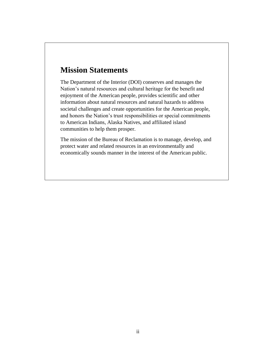### **Mission Statements**

The Department of the Interior (DOI) conserves and manages the Nation's natural resources and cultural heritage for the benefit and enjoyment of the American people, provides scientific and other information about natural resources and natural hazards to address societal challenges and create opportunities for the American people, and honors the Nation's trust responsibilities or special commitments to American Indians, Alaska Natives, and affiliated island communities to help them prosper.

The mission of the Bureau of Reclamation is to manage, develop, and protect water and related resources in an environmentally and economically sounds manner in the interest of the American public.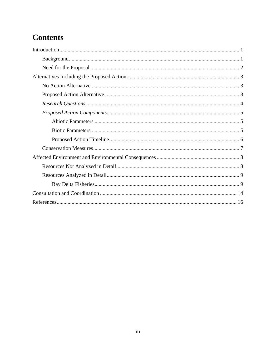# **Contents**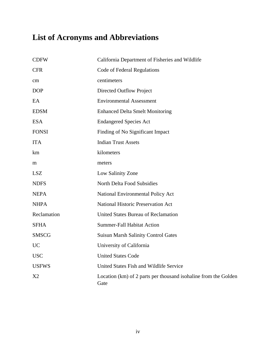# **List of Acronyms and Abbreviations**

| <b>CDFW</b>  | California Department of Fisheries and Wildlife                         |
|--------------|-------------------------------------------------------------------------|
| <b>CFR</b>   | Code of Federal Regulations                                             |
| cm           | centimeters                                                             |
| <b>DOP</b>   | Directed Outflow Project                                                |
| EA           | <b>Environmental Assessment</b>                                         |
| <b>EDSM</b>  | <b>Enhanced Delta Smelt Monitoring</b>                                  |
| <b>ESA</b>   | <b>Endangered Species Act</b>                                           |
| <b>FONSI</b> | Finding of No Significant Impact                                        |
| <b>ITA</b>   | <b>Indian Trust Assets</b>                                              |
| km           | kilometers                                                              |
| m            | meters                                                                  |
| <b>LSZ</b>   | Low Salinity Zone                                                       |
| <b>NDFS</b>  | North Delta Food Subsidies                                              |
| <b>NEPA</b>  | National Environmental Policy Act                                       |
| <b>NHPA</b>  | National Historic Preservation Act                                      |
| Reclamation  | <b>United States Bureau of Reclamation</b>                              |
| <b>SFHA</b>  | <b>Summer-Fall Habitat Action</b>                                       |
| <b>SMSCG</b> | <b>Suisun Marsh Salinity Control Gates</b>                              |
| <b>UC</b>    | University of California                                                |
| <b>USC</b>   | <b>United States Code</b>                                               |
| <b>USFWS</b> | United States Fish and Wildlife Service                                 |
| X2           | Location (km) of 2 parts per thousand isohaline from the Golden<br>Gate |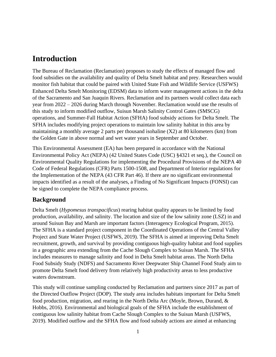### <span id="page-4-0"></span>**Introduction**

The Bureau of Reclamation (Reclamation) proposes to study the effects of managed flow and food subsidies on the availability and quality of Delta Smelt habitat and prey. Researchers would monitor fish habitat that could be paired with United State Fish and Wildlife Service (USFWS) Enhanced Delta Smelt Monitoring (EDSM) data to inform water management actions in the delta of the Sacramento and San Juaquin Rivers. Reclamation and its partners would collect data each year from 2022 – 2026 during March through November. Reclamation would use the results of this study to inform modified outflow, Suisun Marsh Salinity Control Gates (SMSCG) operations, and Summer-Fall Habitat Action (SFHA) food subsidy actions for Delta Smelt. The SFHA includes modifying project operations to maintain low salinity habitat in this area by maintaining a monthly average 2 parts per thousand isohaline (X2) at 80 kilometers (km) from the Golden Gate in above normal and wet water years in September and October.

This Environmental Assessment (EA) has been prepared in accordance with the National Environmental Policy Act (NEPA) (42 United States Code (USC) §4321 et seq.), the Council on Environmental Quality Regulations for implementing the Procedural Provisions of the NEPA 40 Code of Federal Regulations (CFR) Parts 1500-1508, and Department of Interior regulations for the Implementation of the NEPA (43 CFR Part 46). If there are no significant environmental impacts identified as a result of the analyses, a Finding of No Significant Impacts (FONSI) can be signed to complete the NEPA compliance process.

#### <span id="page-4-1"></span>**Background**

Delta Smelt (*Hypomesus transpacificus*) rearing habitat quality appears to be limited by food production, availability, and salinity. The location and size of the low salinity zone (LSZ) in and around Suisun Bay and Marsh are important factors (Interagency Ecological Program, 2015). The SFHA is a standard project component in the Coordinated Operations of the Central Valley Project and State Water Project (USFWS, 2019). The SFHA is aimed at improving Delta Smelt recruitment, growth, and survival by providing contiguous high-quality habitat and food supplies in a geographic area extending from the Cache Slough Complex to Suisun Marsh. The SFHA includes measures to manage salinity and food in Delta Smelt habitat areas. The North Delta Food Subsidy Study (NDFS) and Sacramento River Deepwater Ship Channel Food Study aim to promote Delta Smelt food delivery from relatively high productivity areas to less productive waters downstream.

This study will continue sampling conducted by Reclamation and partners since 2017 as part of the Directed Outflow Project (DOP). The study area includes habitats important for Delta Smelt food production, migration, and rearing in the North Delta Arc (Moyle, Brown, Durand, & Hobbs, 2016). Environmental and biological goals of the SFHA include the establishment of contiguous low salinity habitat from Cache Slough Complex to the Suisun Marsh (USFWS, 2019). Modified outflow and the SFHA flow and food subsidy actions are aimed at enhancing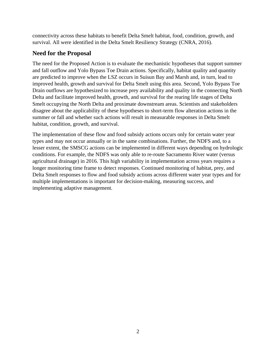connectivity across these habitats to benefit Delta Smelt habitat, food, condition, growth, and survival. All were identified in the Delta Smelt Resiliency Strategy (CNRA, 2016).

#### <span id="page-5-0"></span>**Need for the Proposal**

The need for the Proposed Action is to evaluate the mechanistic hypotheses that support summer and fall outflow and Yolo Bypass Toe Drain actions. Specifically, habitat quality and quantity are predicted to improve when the LSZ occurs in Suisun Bay and Marsh and, in turn, lead to improved health, growth and survival for Delta Smelt using this area. Second, Yolo Bypass Toe Drain outflows are hypothesized to increase prey availability and quality in the connecting North Delta and facilitate improved health, growth, and survival for the rearing life stages of Delta Smelt occupying the North Delta and proximate downstream areas. Scientists and stakeholders disagree about the applicability of these hypotheses to short-term flow alteration actions in the summer or fall and whether such actions will result in measurable responses in Delta Smelt habitat, condition, growth, and survival.

The implementation of these flow and food subsidy actions occurs only for certain water year types and may not occur annually or in the same combinations. Further, the NDFS and, to a lesser extent, the SMSCG actions can be implemented in different ways depending on hydrologic conditions. For example, the NDFS was only able to re-route Sacramento River water (versus agricultural drainage) in 2016. This high variability in implementation across years requires a longer monitoring time frame to detect responses. Continued monitoring of habitat, prey, and Delta Smelt responses to flow and food subsidy actions across different water year types and for multiple implementations is important for decision-making, measuring success, and implementing adaptive management.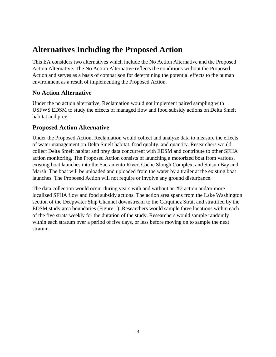### <span id="page-6-0"></span>**Alternatives Including the Proposed Action**

This EA considers two alternatives which include the No Action Alternative and the Proposed Action Alternative. The No Action Alternative reflects the conditions without the Proposed Action and serves as a basis of comparison for determining the potential effects to the human environment as a result of implementing the Proposed Action.

#### <span id="page-6-1"></span>**No Action Alternative**

Under the no action alternative, Reclamation would not implement paired sampling with USFWS EDSM to study the effects of managed flow and food subsidy actions on Delta Smelt habitat and prey.

#### <span id="page-6-2"></span>**Proposed Action Alternative**

Under the Proposed Action, Reclamation would collect and analyze data to measure the effects of water management on Delta Smelt habitat, food quality, and quantity. Researchers would collect Delta Smelt habitat and prey data concurrent with EDSM and contribute to other SFHA action monitoring. The Proposed Action consists of launching a motorized boat from various, existing boat launches into the Sacramento River, Cache Slough Complex, and Suisun Bay and Marsh. The boat will be unloaded and uploaded from the water by a trailer at the existing boat launches. The Proposed Action will not require or involve any ground disturbance.

The data collection would occur during years with and without an X2 action and/or more localized SFHA flow and food subsidy actions. The action area spans from the Lake Washington section of the Deepwater Ship Channel downstream to the Carquinez Strait and stratified by the EDSM study area boundaries [\(Figure 1\)](#page-7-1). Researchers would sample three locations within each of the five strata weekly for the duration of the study. Researchers would sample randomly within each stratum over a period of five days, or less before moving on to sample the next stratum.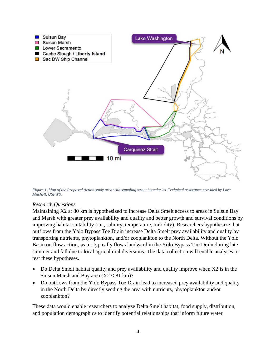

<span id="page-7-1"></span>*Figure 1. Map of the Proposed Action study area with sampling strata boundaries. Technical assistance provided by Lara Mitchell, USFWS.*

#### <span id="page-7-0"></span>*Research Questions*

Maintaining X2 at 80 km is hypothesized to increase Delta Smelt access to areas in Suisun Bay and Marsh with greater prey availability and quality and better growth and survival conditions by improving habitat suitability (i.e., salinity, temperature, turbidity). Researchers hypothesize that outflows from the Yolo Bypass Toe Drain increase Delta Smelt prey availability and quality by transporting nutrients, phytoplankton, and/or zooplankton to the North Delta. Without the Yolo Basin outflow action, water typically flows landward in the Yolo Bypass Toe Drain during late summer and fall due to local agricultural diversions. The data collection will enable analyses to test these hypotheses.

- Do Delta Smelt habitat quality and prey availability and quality improve when X2 is in the Suisun Marsh and Bay area  $(X2 < 81$  km $)$ ?
- Do outflows from the Yolo Bypass Toe Drain lead to increased prey availability and quality in the North Delta by directly seeding the area with nutrients, phytoplankton and/or zooplankton?

These data would enable researchers to analyze Delta Smelt habitat, food supply, distribution, and population demographics to identify potential relationships that inform future water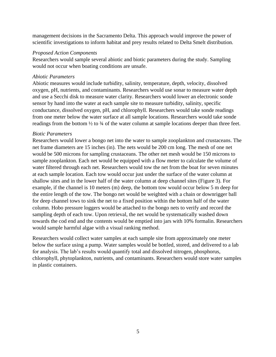management decisions in the Sacramento Delta. This approach would improve the power of scientific investigations to inform habitat and prey results related to Delta Smelt distribution.

#### <span id="page-8-0"></span>*Proposed Action Components*

Researchers would sample several abiotic and biotic parameters during the study. Sampling would not occur when boating conditions are unsafe.

#### <span id="page-8-1"></span>*Abiotic Parameters*

Abiotic measures would include turbidity, salinity, temperature, depth, velocity, dissolved oxygen, pH, nutrients, and contaminants. Researchers would use sonar to measure water depth and use a Secchi disk to measure water clarity. Researchers would lower an electronic sonde sensor by hand into the water at each sample site to measure turbidity, salinity, specific conductance, dissolved oxygen, pH, and chlorophyll. Researchers would take sonde readings from one meter below the water surface at all sample locations. Researchers would take sonde readings from the bottom  $\frac{1}{2}$  to  $\frac{3}{4}$  of the water column at sample locations deeper than three feet.

#### <span id="page-8-2"></span>*Biotic Parameters*

Researchers would lower a bongo net into the water to sample zooplankton and crustaceans. The net frame diameters are 15 inches (in). The nets would be 200 cm long. The mesh of one net would be 500 microns for sampling crustaceans. The other net mesh would be 150 microns to sample zooplankton. Each net would be equipped with a flow meter to calculate the volume of water filtered through each net. Researchers would tow the net from the boat for seven minutes at each sample location. Each tow would occur just under the surface of the water column at shallow sites and in the lower half of the water column at deep channel sites [\(Figure 3\)](#page-9-1). For example, if the channel is 10 meters (m) deep, the bottom tow would occur below 5 m deep for the entire length of the tow. The bongo net would be weighted with a chain or downrigger ball for deep channel tows to sink the net to a fixed position within the bottom half of the water column. Hobo pressure loggers would be attached to the bongo nets to verify and record the sampling depth of each tow. Upon retrieval, the net would be systematically washed down towards the cod end and the contents would be emptied into jars with 10% formalin. Researchers would sample harmful algae with a visual ranking method.

Researchers would collect water samples at each sample site from approximately one meter below the surface using a pump. Water samples would be bottled, stored, and delivered to a lab for analysis. The lab's results would quantify total and dissolved nitrogen, phosphorus, chlorophyll, phytoplankton, nutrients, and contaminants. Researchers would store water samples in plastic containers.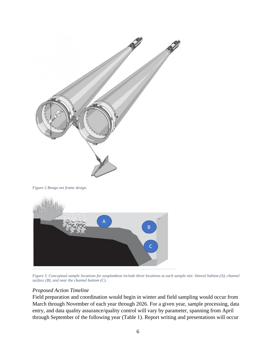

<span id="page-9-1"></span>*Figure 3. Conceptual sample locations for zooplankton include three locations at each sample site: littoral habitat (A), channel surface (B), and near the channel bottom (C).*

#### <span id="page-9-0"></span>*Proposed Action Timeline*

Field preparation and coordination would begin in winter and field sampling would occur from March through November of each year through 2026. For a given year, sample processing, data entry, and data quality assurance/quality control will vary by parameter, spanning from April through September of the following year [\(Table 1\)](#page-10-1). Report writing and presentations will occur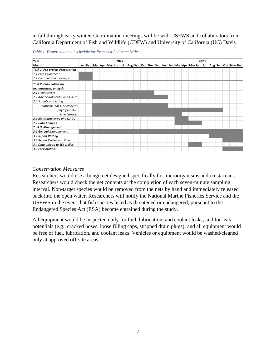in fall through early winter. Coordination meetings will be with USFWS and collaborators from California Department of Fish and Wildlife (CDFW) and University of California (UC) Davis.

| Year                                   | 2022 |  |  |  |                         | 2023 |  |  |  |                                                 |  |  |  |  |  |  |  |  |  |                     |
|----------------------------------------|------|--|--|--|-------------------------|------|--|--|--|-------------------------------------------------|--|--|--|--|--|--|--|--|--|---------------------|
| Month                                  | Jan  |  |  |  | Feb Mar Apr May Jun Jul |      |  |  |  | Aug Sep Oct Nov Dec Jan Feb Mar Apr May Jun Jul |  |  |  |  |  |  |  |  |  | Aug Sep Oct Nov Dec |
| <b>Task 1. Pre-project Preparation</b> |      |  |  |  |                         |      |  |  |  |                                                 |  |  |  |  |  |  |  |  |  |                     |
| 1.1 Prep Equipment                     |      |  |  |  |                         |      |  |  |  |                                                 |  |  |  |  |  |  |  |  |  |                     |
| 1.2 Coordination meetings              |      |  |  |  |                         |      |  |  |  |                                                 |  |  |  |  |  |  |  |  |  |                     |
| Task 2. Data collection,               |      |  |  |  |                         |      |  |  |  |                                                 |  |  |  |  |  |  |  |  |  |                     |
| management, analysis                   |      |  |  |  |                         |      |  |  |  |                                                 |  |  |  |  |  |  |  |  |  |                     |
| 2.1 Field surveys                      |      |  |  |  |                         |      |  |  |  |                                                 |  |  |  |  |  |  |  |  |  |                     |
| 2.2 Abiotic data entry and QAQC        |      |  |  |  |                         |      |  |  |  |                                                 |  |  |  |  |  |  |  |  |  |                     |
| 2.3 Sample processing:                 |      |  |  |  |                         |      |  |  |  |                                                 |  |  |  |  |  |  |  |  |  |                     |
| nutrients, chl a, Microcystis          |      |  |  |  |                         |      |  |  |  |                                                 |  |  |  |  |  |  |  |  |  |                     |
| phytoplankton                          |      |  |  |  |                         |      |  |  |  |                                                 |  |  |  |  |  |  |  |  |  |                     |
| invertebrates                          |      |  |  |  |                         |      |  |  |  |                                                 |  |  |  |  |  |  |  |  |  |                     |
| 2.6 Biotic data entry and QAQC         |      |  |  |  |                         |      |  |  |  |                                                 |  |  |  |  |  |  |  |  |  |                     |
| 2.7 Data Analysis                      |      |  |  |  |                         |      |  |  |  |                                                 |  |  |  |  |  |  |  |  |  |                     |
| Task 3. Management                     |      |  |  |  |                         |      |  |  |  |                                                 |  |  |  |  |  |  |  |  |  |                     |
| 3.1 General Management                 |      |  |  |  |                         |      |  |  |  |                                                 |  |  |  |  |  |  |  |  |  |                     |
| 3.2 Report Writing                     |      |  |  |  |                         |      |  |  |  |                                                 |  |  |  |  |  |  |  |  |  |                     |
| 3.3 Report Review and Edits            |      |  |  |  |                         |      |  |  |  |                                                 |  |  |  |  |  |  |  |  |  |                     |
| 3.4 Data upload to EDI or Rise         |      |  |  |  |                         |      |  |  |  |                                                 |  |  |  |  |  |  |  |  |  |                     |
| 3.5 Presentations                      |      |  |  |  |                         |      |  |  |  |                                                 |  |  |  |  |  |  |  |  |  |                     |

<span id="page-10-1"></span>*Table 1. Proposed annual schedule for Proposed Action activities*

#### <span id="page-10-0"></span>*Conservation Measures*

Researchers would use a bongo net designed specifically for microorganisms and crustaceans. Researchers would check the net contents at the completion of each seven-minute sampling interval. Non-target species would be removed from the nets by hand and immediately released back into the open water. Researchers will notify the National Marine Fisheries Service and the USFWS in the event that fish species listed as threatened or endangered, pursuant to the Endangered Species Act (ESA) become entrained during the study.

All equipment would be inspected daily for fuel, lubrication, and coolant leaks; and for leak potentials (e.g., cracked hoses, loose filling caps, stripped drain plugs); and all equipment would be free of fuel, lubrication, and coolant leaks. Vehicles or equipment would be washed/cleaned only at approved off-site areas.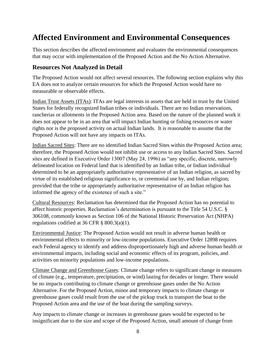# <span id="page-11-0"></span>**Affected Environment and Environmental Consequences**

This section describes the affected environment and evaluates the environmental consequences that may occur with implementation of the Proposed Action and the No Action Alternative.

#### <span id="page-11-1"></span>**Resources Not Analyzed in Detail**

The Proposed Action would not affect several resources. The following section explains why this EA does not to analyze certain resources for which the Proposed Action would have no measurable or observable effects.

Indian Trust Assets (ITAs): ITAs are legal interests in assets that are held in trust by the United States for federally recognized Indian tribes or individuals. There are no Indian reservations, rancherias or allotments in the Proposed Action area. Based on the nature of the planned work it does not appear to be in an area that will impact Indian hunting or fishing resources or water rights nor is the proposed activity on actual Indian lands. It is reasonable to assume that the Proposed Action will not have any impacts on ITAs.

Indian Sacred Sites: There are no identified Indian Sacred Sites within the Proposed Action area; therefore, the Proposed Action would not inhibit use or access to any Indian Sacred Sites. Sacred sites are defined in Executive Order 13007 (May 24, 1996) as "any specific, discrete, narrowly delineated location on Federal land that is identified by an Indian tribe, or Indian individual determined to be an appropriately authoritative representative of an Indian religion, as sacred by virtue of its established religious significance to, or ceremonial use by, and Indian religion; provided that the tribe or appropriately authoritative representative of an Indian religion has informed the agency of the existence of such a site."

Cultural Resources: Reclamation has determined that the Proposed Action has no potential to affect historic properties. Reclamation's determination is pursuant to the Title 54 U.S.C. § 306108, commonly known as Section 106 of the National Historic Preservation Act (NHPA) regulations codified at 36 CFR  $\S$  800.3(a)(1).

Environmental Justice: The Proposed Action would not result in adverse human health or environmental effects to minority or low-income populations. Executive Order 12898 requires each Federal agency to identify and address disproportionately high and adverse human health or environmental impacts, including social and economic effects of its program, policies, and activities on minority populations and low-income populations.

Climate Change and Greenhouse Gases: Climate change refers to significant change in measures of climate (e.g., temperature, precipitation, or wind) lasting for decades or longer. There would be no impacts contributing to climate change or greenhouse gases under the No Action Alternative. For the Proposed Action, minor and temporary impacts to climate change or greenhouse gases could result from the use of the pickup truck to transport the boat to the Proposed Action area and the use of the boat during the sampling surveys.

Any impacts to climate change or increases in greenhouse gases would be expected to be insignificant due to the size and scope of the Proposed Action, small amount of change from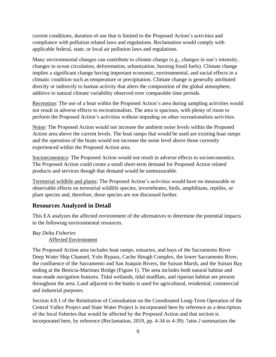current conditions, duration of use that is limited to the Proposed Action's activities and compliance with pollution related laws and regulations. Reclamation would comply with applicable federal, state, or local air pollution laws and regulations.

Many environmental changes can contribute to climate change (e.g., changes in sun's intensity, changes in ocean circulation, deforestation, urbanization, burning fossil fuels). Climate change implies a significant change having important economic, environmental, and social effects in a climatic condition such as temperature or precipitation. Climate change is generally attributed directly or indirectly to human activity that alters the composition of the global atmosphere, additive to natural climate variability observed over comparable time periods.

Recreation: The use of a boat within the Proposed Action's area during sampling activities would not result in adverse effects to recreationalists. The area is spacious, with plenty of room to perform the Proposed Action's activities without impeding on other recreationalists activities.

Noise: The Proposed Action would not increase the ambient noise levels within the Proposed Action area above the current levels. The boat ramps that would be used are existing boat ramps and the operation of the boats would not increase the noise level above those currently experienced within the Proposed Action area.

Socioeconomics: The Proposed Action would not result in adverse effects to socioeconomics. The Proposed Action could create a small short-term demand for Proposed Action related products and services though that demand would be unmeasurable.

Terrestrial wildlife and plants: The Proposed Action's activities would have no measurable or observable effects on terrestrial wildlife species, invertebrates, birds, amphibians, reptiles, or plant species and, therefore, these species are not discussed further.

#### <span id="page-12-0"></span>**Resources Analyzed in Detail**

This EA analyzes the affected environment of the alternatives to determine the potential impacts to the following environmental resources.

#### <span id="page-12-1"></span>*Bay Delta Fisheries* Affected Environment

The Proposed Action area includes boat ramps, estuaries, and bays of the Sacramento River Deep Water Ship Channel, Yolo Bypass, Cache Slough Complex, the lower Sacramento River, the confluence of the Sacramento and San Joaquin Rivers, the Suisun Marsh, and the Suisun Bay ending at the Benicia-Martinez Bridge [\(Figure 1\)](#page-7-1). The area includes both natural habitat and man-made navigation features. Tidal wetlands, tidal mudflats, and riparian habitat are present throughout the area. Land adjacent to the banks is used for agricultural, residential, commercial and industrial purposes.

Section 4.8.1 of the Reinitiation of Consultation on the Coordinated Long-Term Operation of the Central Valley Project and State Water Project is incorporated here by reference as a description of the focal fisheries that would be affected by the Proposed Action and that section is incorporated here, by reference (Reclamation, 2019, pp. 4-34 to 4-39). [Table](#page-13-0) *2* summarizes the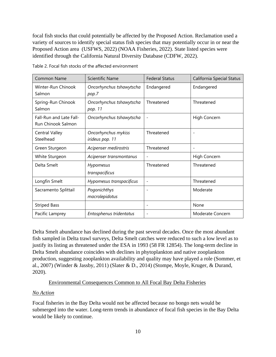focal fish stocks that could potentially be affected by the Proposed Action. Reclamation used a variety of sources to identify special status fish species that may potentially occur in or near the Proposed Action area (USFWS, 2022) (NOAA Fisheries, 2022). State listed species were identified through the California Natural Diversity Database (CDFW, 2022).

| <b>Common Name</b>                            | <b>Scientific Name</b>                 | <b>Federal Status</b>    | California Special Status |
|-----------------------------------------------|----------------------------------------|--------------------------|---------------------------|
| Winter-Run Chinook<br>Salmon                  | Oncorhynchus tshawytscha<br>pop.7      | Endangered               | Endangered                |
| Spring-Run Chinook<br>Salmon                  | Oncorhynchus tshawytscha<br>pop. 11    | Threatened               | Threatened                |
| Fall-Run and Late Fall-<br>Run Chinook Salmon | Oncorhynchus tshawytscha               |                          | High Concern              |
| <b>Central Valley</b><br>Steelhead            | Oncorhynchus mykiss<br>irideus pop. 11 | Threatened               |                           |
| Green Sturgeon                                | Acipenser medirostris                  | Threatened               |                           |
| White Sturgeon                                | Acipenser transmontanus                |                          | High Concern              |
| Delta Smelt                                   | Hypomesus<br>transpacificus            | Threatened               | Threatened                |
| Longfin Smelt                                 | Hypomesus transpacificus               | $\overline{\phantom{0}}$ | Threatened                |
| Sacramento Splittail                          | Pogonichthys<br>macrolepidotus         | ÷                        | Moderate                  |
| <b>Striped Bass</b>                           |                                        |                          | None                      |
| Pacific Lamprey                               | Entosphenus tridentatus                | $\overline{\phantom{a}}$ | Moderate Concern          |

<span id="page-13-0"></span>Table 2. Focal fish stocks of the affected environment

Delta Smelt abundance has declined during the past several decades. Once the most abundant fish sampled in Delta trawl surveys, Delta Smelt catches were reduced to such a low level as to justify its listing as threatened under the ESA in 1993 (58 FR 12854). The long-term decline in Delta Smelt abundance coincides with declines in phytoplankton and native zooplankton production, suggesting zooplankton availability and quality may have played a role (Sommer, et al., 2007) (Winder & Jassby, 2011) (Slater & D., 2014) (Stompe, Moyle, Kruger, & Durand, 2020).

#### Environmental Consequences Common to All Focal Bay Delta Fisheries

#### *No Action*

Focal fisheries in the Bay Delta would not be affected because no bongo nets would be submerged into the water. Long-term trends in abundance of focal fish species in the Bay Delta would be likely to continue.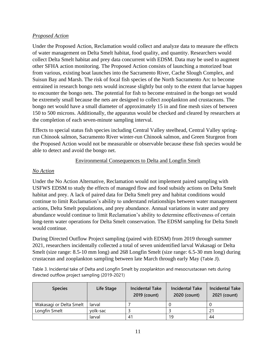#### *Proposed Action*

Under the Proposed Action, Reclamation would collect and analyze data to measure the effects of water management on Delta Smelt habitat, food quality, and quantity. Researchers would collect Delta Smelt habitat and prey data concurrent with EDSM. Data may be used to augment other SFHA action monitoring. The Proposed Action consists of launching a motorized boat from various, existing boat launches into the Sacramento River, Cache Slough Complex, and Suisun Bay and Marsh. The risk of focal fish species of the North Sacramento Arc to become entrained in research bongo nets would increase slightly but only to the extent that larvae happen to encounter the bongo nets. The potential for fish to become entrained in the bongo net would be extremely small because the nets are designed to collect zooplankton and crustaceans. The bongo net would have a small diameter of approximately 15 in and fine mesh sizes of between 150 to 500 microns. Additionally, the apparatus would be checked and cleared by researchers at the completion of each seven-minute sampling interval.

Effects to special status fish species including Central Valley steelhead, Central Valley springrun Chinook salmon, Sacramento River winter-run Chinook salmon, and Green Sturgeon from the Proposed Action would not be measurable or observable because these fish species would be able to detect and avoid the bongo net.

#### Environmental Consequences to Delta and Longfin Smelt

#### *No Action*

Under the No Action Alternative, Reclamation would not implement paired sampling with USFWS EDSM to study the effects of managed flow and food subsidy actions on Delta Smelt habitat and prey. A lack of paired data for Delta Smelt prey and habitat conditions would continue to limit Reclamation's ability to understand relationships between water management actions, Delta Smelt populations, and prey abundance. Annual variations in water and prey abundance would continue to limit Reclamation's ability to determine effectiveness of certain long-term water operations for Delta Smelt conservation. The EDSM sampling for Delta Smelt would continue.

During Directed Outflow Project sampling (paired with EDSM) from 2019 through summer 2021, researchers incidentally collected a total of seven unidentified larval Wakasagi or Delta Smelt (size range: 8.5-10 mm long) and 268 Longfin Smelt (size range: 6.5-30 mm long) during crustacean and zooplankton sampling between late March through early May ([Table](#page-14-0) *3*).

<span id="page-14-0"></span>Table 3. Incidental take of Delta and Longfin Smelt by zooplankton and mesocrustacean nets during directed outflow project sampling (2019-2021)

| <b>Species</b>          | Life Stage | <b>Incidental Take</b><br>2019 (count) | <b>Incidental Take</b><br>2020 (count) | <b>Incidental Take</b><br>2021 (count) |
|-------------------------|------------|----------------------------------------|----------------------------------------|----------------------------------------|
| Wakasagi or Delta Smelt | larval     |                                        |                                        |                                        |
| Longfin Smelt           | yolk-sac   |                                        |                                        | 21                                     |
|                         | larval     | 41                                     | 19                                     | 44                                     |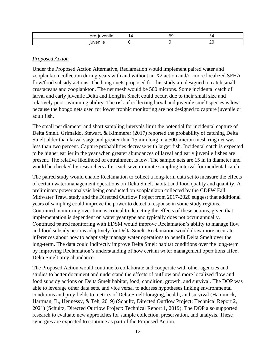| --<br>-- - - | ↵ | $\sim$<br>$\sim$ | ∼                                               |
|--------------|---|------------------|-------------------------------------------------|
|              |   |                  | $\sim$<br>$\sim$<br>and the control of the con- |

#### *Proposed Action*

Under the Proposed Action Alternative, Reclamation would implement paired water and zooplankton collection during years with and without an X2 action and/or more localized SFHA flow/food subsidy actions. The bongo nets proposed for this study are designed to catch small crustaceans and zooplankton. The net mesh would be 500 microns. Some incidental catch of larval and early juvenile Delta and Longfin Smelt could occur, due to their small size and relatively poor swimming ability. The risk of collecting larval and juvenile smelt species is low because the bongo nets used for lower trophic monitoring are not designed to capture juvenile or adult fish.

The small net diameter and short sampling intervals limit the potential for incidental capture of Delta Smelt. Grimaldo, Stewart, & Kimmerer (2017) reported the probability of catching Delta Smelt older than larval stage and greater than 15 mm long in a 500-micron mesh ring net was less than two percent. Capture probabilities decrease with larger fish. Incidental catch is expected to be higher earlier in the year when greater abundances of larval and early juvenile fishes are present. The relative likelihood of entrainment is low. The sample nets are 15 in in diameter and would be checked by researchers after each seven-minute sampling interval for incidental catch.

The paired study would enable Reclamation to collect a long-term data set to measure the effects of certain water management operations on Delta Smelt habitat and food quality and quantity. A preliminary power analysis being conducted on zooplankton collected by the CDFW Fall Midwater Trawl study and the Directed Outflow Project from 2017-2020 suggest that additional years of sampling could improve the power to detect a response in some study regions. Continued monitoring over time is critical to detecting the effects of these actions, given that implementation is dependent on water year type and typically does not occur annually. Continued paired monitoring with EDSM would improve Reclamation's ability to manage flow and food subsidy actions adaptively for Delta Smelt. Reclamation would draw more accurate inferences about how to adaptively manage water operations to benefit Delta Smelt over the long-term. The data could indirectly improve Delta Smelt habitat conditions over the long-term by improving Reclamation's understanding of how certain water management operations affect Delta Smelt prey abundance.

The Proposed Action would continue to collaborate and cooperate with other agencies and studies to better document and understand the effects of outflow and more localized flow and food subsidy actions on Delta Smelt habitat, food, condition, growth, and survival. The DOP was able to leverage other data sets, and vice versa, to address hypotheses linking environmental conditions and prey fields to metrics of Delta Smelt foraging, health, and survival (Hammock, Hartman, B., Hennessy, & Teh, 2019) (Schultz, Directed Outflow Project: Technical Report 2, 2021) (Schultz, Directed Outflow Project: Technical Report 1, 2019). The DOP also supported research to evaluate new approaches for sample collection, preservation, and analysis. These synergies are expected to continue as part of the Proposed Action.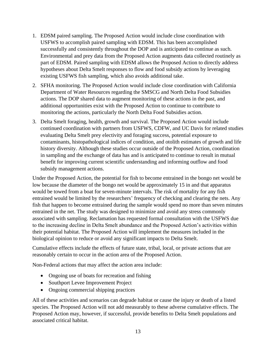- 1. EDSM paired sampling. The Proposed Action would include close coordination with USFWS to accomplish paired sampling with EDSM. This has been accomplished successfully and consistently throughout the DOP and is anticipated to continue as such. Environmental and prey data from the Proposed Action augments data collected routinely as part of EDSM. Paired sampling with EDSM allows the Proposed Action to directly address hypotheses about Delta Smelt responses to flow and food subsidy actions by leveraging existing USFWS fish sampling, which also avoids additional take.
- 2. SFHA monitoring. The Proposed Action would include close coordination with California Department of Water Resources regarding the SMSCG and North Delta Food Subsidies actions. The DOP shared data to augment monitoring of these actions in the past, and additional opportunities exist with the Proposed Action to continue to contribute to monitoring the actions, particularly the North Delta Food Subsidies action.
- 3. Delta Smelt foraging, health, growth and survival. The Proposed Action would include continued coordination with partners from USFWS, CDFW, and UC Davis for related studies evaluating Delta Smelt prey electivity and foraging success, potential exposure to contaminants, histopathological indices of condition, and otolith estimates of growth and life history diversity. Although these studies occur outside of the Proposed Action, coordination in sampling and the exchange of data has and is anticipated to continue to result in mutual benefit for improving current scientific understanding and informing outflow and food subsidy management actions.

Under the Proposed Action, the potential for fish to become entrained in the bongo net would be low because the diameter of the bongo net would be approximately 15 in and that apparatus would be towed from a boat for seven-minute intervals. The risk of mortality for any fish entrained would be limited by the researchers' frequency of checking and clearing the nets. Any fish that happen to become entrained during the sample would spend no more than seven minutes entrained in the net. The study was designed to minimize and avoid any stress commonly associated with sampling. Reclamation has requested formal consultation with the USFWS due to the increasing decline in Delta Smelt abundance and the Proposed Action's activities within their potential habitat. The Proposed Action will implement the measures included in the biological opinion to reduce or avoid any significant impacts to Delta Smelt.

Cumulative effects include the effects of future state, tribal, local, or private actions that are reasonably certain to occur in the action area of the Proposed Action.

Non-Federal actions that may affect the action area include:

- Ongoing use of boats for recreation and fishing
- Southport Levee Improvement Project
- Ongoing commercial shipping practices

All of these activities and scenarios can degrade habitat or cause the injury or death of a listed species. The Proposed Action will not add measurably to these adverse cumulative effects. The Proposed Action may, however, if successful, provide benefits to Delta Smelt populations and associated critical habitat.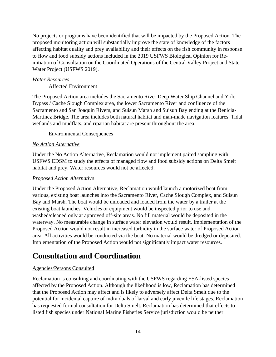No projects or programs have been identified that will be impacted by the Proposed Action. The proposed monitoring action will substantially improve the state of knowledge of the factors affecting habitat quality and prey availability and their effects on the fish community in response to flow and food subsidy actions included in the 2019 USFWS Biological Opinion for Reinitiation of Consultation on the Coordinated Operations of the Central Valley Project and State Water Project (USFWS 2019).

#### *Water Resources*

Affected Environment

The Proposed Action area includes the Sacramento River Deep Water Ship Channel and Yolo Bypass / Cache Slough Complex area, the lower Sacramento River and confluence of the Sacramento and San Joaquin Rivers, and Suisun Marsh and Suisun Bay ending at the Benicia-Martinez Bridge. The area includes both natural habitat and man-made navigation features. Tidal wetlands and mudflats, and riparian habitat are present throughout the area.

#### Environmental Consequences

#### *No Action Alternative*

Under the No Action Alternative, Reclamation would not implement paired sampling with USFWS EDSM to study the effects of managed flow and food subsidy actions on Delta Smelt habitat and prey. Water resources would not be affected.

#### *Proposed Action Alternative*

Under the Proposed Action Alternative, Reclamation would launch a motorized boat from various, existing boat launches into the Sacramento River, Cache Slough Complex, and Suisun Bay and Marsh. The boat would be unloaded and loaded from the water by a trailer at the existing boat launches. Vehicles or equipment would be inspected prior to use and washed/cleaned only at approved off-site areas. No fill material would be deposited in the waterway. No measurable change in surface water elevation would result. Implementation of the Proposed Action would not result in increased turbidity in the surface water of Proposed Action area. All activities would be conducted via the boat. No material would be dredged or deposited. Implementation of the Proposed Action would not significantly impact water resources.

# <span id="page-17-0"></span>**Consultation and Coordination**

#### Agencies/Persons Consulted

Reclamation is consulting and coordinating with the USFWS regarding ESA-listed species affected by the Proposed Action. Although the likelihood is low, Reclamation has determined that the Proposed Action may affect and is likely to adversely affect Delta Smelt due to the potential for incidental capture of individuals of larval and early juvenile life stages. Reclamation has requested formal consultation for Delta Smelt. Reclamation has determined that effects to listed fish species under National Marine Fisheries Service jurisdiction would be neither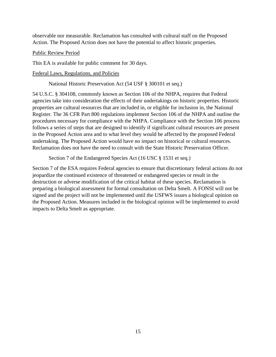observable nor measurable. Reclamation has consulted with cultural staff on the Proposed Action. The Proposed Action does not have the potential to affect historic properties.

#### Public Review Period

This EA is available for public comment for 30 days.

#### Federal Laws, Regulations, and Policies

National Historic Preservation Act (54 USF § 300101 et seq.)

54 U.S.C. § 304108, commonly known as Section 106 of the NHPA, requires that Federal agencies take into consideration the effects of their undertakings on historic properties. Historic properties are cultural resources that are included in, or eligible for inclusion in, the National Register. The 36 CFR Part 800 regulations implement Section 106 of the NHPA and outline the procedures necessary for compliance with the NHPA. Compliance with the Section 106 process follows a series of steps that are designed to identify if significant cultural resources are present in the Proposed Action area and to what level they would be affected by the proposed Federal undertaking. The Proposed Action would have no impact on historical or cultural resources. Reclamation does not have the need to consult with the State Historic Preservation Officer.

Section 7 of the Endangered Species Act (16 USC § 1531 et seq.)

Section 7 of the ESA requires Federal agencies to ensure that discretionary federal actions do not jeopardize the continued existence of threatened or endangered species or result in the destruction or adverse modification of the critical habitat of these species. Reclamation is preparing a biological assessment for formal consultation on Delta Smelt. A FONSI will not be signed and the project will not be implemented until the USFWS issues a biological opinion on the Proposed Action. Measures included in the biological opinion will be implemented to avoid impacts to Delta Smelt as appropriate.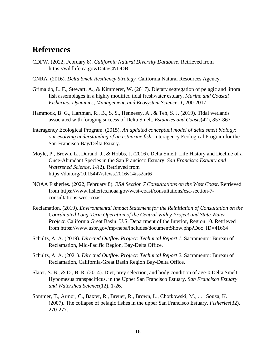### <span id="page-19-0"></span>**References**

- CDFW. (2022, February 8). *California Natural Diversity Database*. Retrieved from https://wildlife.ca.gov/Data/CNDDB
- CNRA. (2016). *Delta Smelt Resiliency Strategy.* California Natural Resources Agency.
- Grimaldo, L. F., Stewart, A., & Kimmerer, W. (2017). Dietary segregation of pelagic and littoral fish assemblages in a highly modified tidal freshwater estuary. *Marine and Coastal Fisheries: Dynamics, Management, and Ecosystem Science, 1*, 200-2017.
- Hammock, B. G., Hartman, R., B., S. S., Hennessy, A., & Teh, S. J. (2019). Tidal wetlands associated with foraging success of Delta Smelt. *Estuaries and Coasts*(42), 857-867.
- Interagency Ecological Program. (2015). *An updated conceptual model of delta smelt biology: our evolving understanding of an estuarine fish.* Interagency Ecological Program for the San Francisco Bay/Delta Esuary.
- Moyle, P., Brown, L., Durand, J., & Hobbs, J. (2016). Delta Smelt: Life History and Decline of a Once-Abundant Species in the San Francisco Estuary. *San Francisco Estuary and Watershed Science, 14*(2). Retrieved from https://doi.org/10.15447/sfews.2016v14iss2art6
- NOAA Fisheries. (2022, February 8). *ESA Section 7 Consultations on the West Coast*. Retrieved from https://www.fisheries.noaa.gov/west-coast/consultations/esa-section-7 consultations-west-coast
- Reclamation. (2019). *Environmental Impact Statement for the Reinitiation of Consultation on the Coordinated Long-Term Operation of the Central Valley Project and State Water Project.* California Great Basin: U.S. Department of the Interior, Region 10. Retrieved from https://www.usbr.gov/mp/nepa/includes/documentShow.php?Doc\_ID=41664
- Schultz, A. A. (2019). *Directed Outflow Project: Technical Report 1.* Sacramento: Bureau of Reclamation, Mid-Pacific Region, Bay-Delta Office.
- Schultz, A. A. (2021). *Directed Outflow Project: Technical Report 2.* Sacramento: Bureau of Reclamation, California-Great Basin Region Bay-Delta Office.
- Slater, S. B., & D., B. R. (2014). Diet, prey selection, and body condition of age-0 Delta Smelt, Hypomesus transpacificus, in the Upper San Francisco Estuary. *San Francisco Estuary and Watershed Science*(12), 1-26.
- Sommer, T., Armor, C., Baxter, R., Breuer, R., Brown, L., Chotkowski, M., . . . Souza, K. (2007). The collapse of pelagic fishes in the upper San Francisco Estuary. *Fisheries*(32), 270-277.